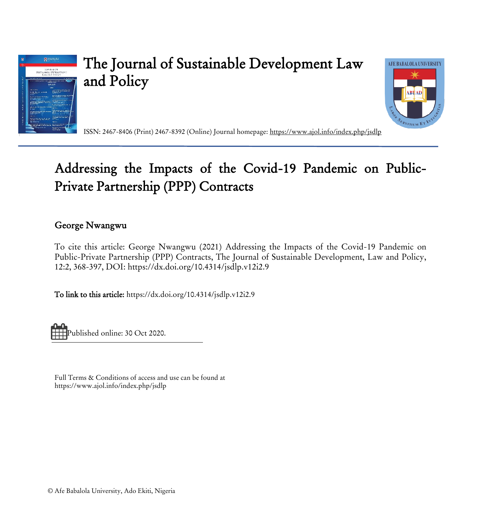

# The Journal of Sustainable Development Law and Policy



ISSN: 2467-8406 (Print) 2467-8392 (Online) Journal homepage:<https://www.ajol.info/index.php/jsdlp>

# Addressing the Impacts of the Covid-19 Pandemic on Public-Private Partnership (PPP) Contracts

# George Nwangwu

To cite this article: George Nwangwu (2021) Addressing the Impacts of the Covid-19 Pandemic on Public-Private Partnership (PPP) Contracts, The Journal of Sustainable Development, Law and Policy, 12:2, 368-397, DOI: https://dx.doi.org/10.4314/jsdlp.v12i2.9

To link to this article: https://dx.doi.org/10.4314/jsdlp.v12i2.9

Published online: 30 Oct 2020.

Full Terms & Conditions of access and use can be found at https://www.ajol.info/index.php/jsdlp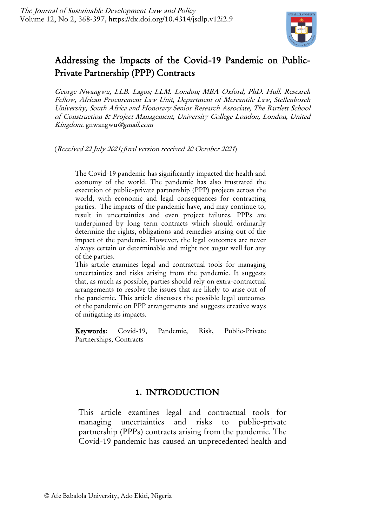

# Addressing the Impacts of the Covid-19 Pandemic on Public-Private Partnership (PPP) Contracts

George Nwangwu, LLB. Lagos; LLM. London; MBA Oxford, PhD. Hull. Research Fellow, African Procurement Law Unit, Department of Mercantile Law, Stellenbosch University, South Africa and Honorary Senior Research Associate, The Bartlett School of Construction & Project Management, University College London, London, United Kingdom. gnwangwu[@gmail.com](mailto:gnwangwu@gmail.com)

(Received 22 July 2021; *fi*nal version received 20 October 2021)

The Covid-19 pandemic has significantly impacted the health and economy of the world. The pandemic has also frustrated the execution of public-private partnership (PPP) projects across the world, with economic and legal consequences for contracting parties. The impacts of the pandemic have, and may continue to, result in uncertainties and even project failures. PPPs are underpinned by long term contracts which should ordinarily determine the rights, obligations and remedies arising out of the impact of the pandemic. However, the legal outcomes are never always certain or determinable and might not augur well for any of the parties.

This article examines legal and contractual tools for managing uncertainties and risks arising from the pandemic. It suggests that, as much as possible, parties should rely on extra-contractual arrangements to resolve the issues that are likely to arise out of the pandemic. This article discusses the possible legal outcomes of the pandemic on PPP arrangements and suggests creative ways of mitigating its impacts.

Keywords: Covid-19, Pandemic, Risk, Public-Private Partnerships, Contracts

### **1.** INTRODUCTION

This article examines legal and contractual tools for managing uncertainties and risks to public-private partnership (PPPs) contracts arising from the pandemic. The Covid-19 pandemic has caused an unprecedented health and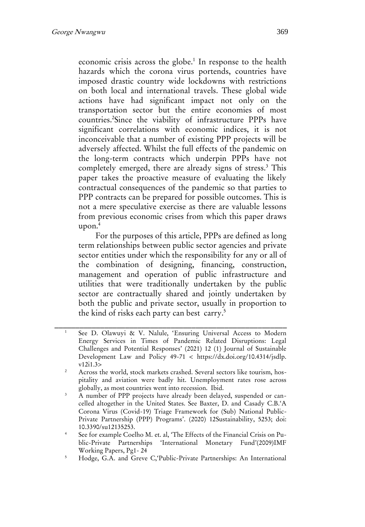economic crisis across the globe.<sup>1</sup> In response to the health hazards which the corona virus portends, countries have imposed drastic country wide lockdowns with restrictions on both local and international travels. These global wide actions have had significant impact not only on the transportation sector but the entire economies of most countries.<sup>2</sup>Since the viability of infrastructure PPPs have significant correlations with economic indices, it is not inconceivable that a number of existing PPP projects will be adversely affected. Whilst the full effects of the pandemic on the long-term contracts which underpin PPPs have not completely emerged, there are already signs of stress.<sup>3</sup> This paper takes the proactive measure of evaluating the likely contractual consequences of the pandemic so that parties to PPP contracts can be prepared for possible outcomes. This is not a mere speculative exercise as there are valuable lessons from previous economic crises from which this paper draws  $upon.<sup>4</sup>$ 

For the purposes of this article, PPPs are defined as long term relationships between public sector agencies and private sector entities under which the responsibility for any or all of the combination of designing, financing, construction, management and operation of public infrastructure and utilities that were traditionally undertaken by the public sector are contractually shared and jointly undertaken by both the public and private sector, usually in proportion to the kind of risks each party can best carry.<sup>5</sup>

\_\_\_\_\_\_\_\_\_\_\_\_\_\_\_\_\_\_\_\_\_\_\_\_\_\_\_\_\_\_\_\_\_\_\_\_\_\_\_\_\_\_\_\_\_\_\_\_\_\_\_\_\_\_\_\_ See D. Olawuyi & V. Nalule, 'Ensuring Universal Access to Modern Energy Services in Times of Pandemic Related Disruptions: Legal Challenges and Potential Responses' (2021) 12 (1) Journal of Sustainable Development Law and Policy 49-71 < https://dx.doi.org/10.4314/jsdlp. v12i1.3>

<sup>&</sup>lt;sup>2</sup> Across the world, stock markets crashed. Several sectors like tourism, hospitality and aviation were badly hit. Unemployment rates rose across globally, as most countries went into recession. Ibid.

<sup>&</sup>lt;sup>3</sup> A number of PPP projects have already been delayed, suspended or cancelled altogether in the United States. See Baxter, D. and Casady C.B.'A Corona Virus (Covid-19) Triage Framework for (Sub) National Public-Private Partnership (PPP) Programs'. (2020) 12Sustainability, 5253; doi: 10.3390/su12135253.

See for example Coelho M. et. al, 'The Effects of the Financial Crisis on Public-Private Partnerships 'International Monetary Fund'(2009)IMF Working Papers, Pg1- 24

<sup>&</sup>lt;sup>5</sup> Hodge, G.A. and Greve C, Public-Private Partnerships: An International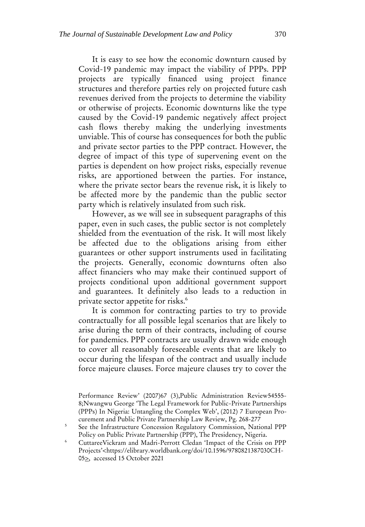It is easy to see how the economic downturn caused by Covid-19 pandemic may impact the viability of PPPs. PPP projects are typically financed using project finance structures and therefore parties rely on projected future cash revenues derived from the projects to determine the viability or otherwise of projects. Economic downturns like the type caused by the Covid-19 pandemic negatively affect project cash flows thereby making the underlying investments unviable. This of course has consequences for both the public and private sector parties to the PPP contract. However, the degree of impact of this type of supervening event on the parties is dependent on how project risks, especially revenue risks, are apportioned between the parties. For instance, where the private sector bears the revenue risk, it is likely to be affected more by the pandemic than the public sector party which is relatively insulated from such risk.

However, as we will see in subsequent paragraphs of this paper, even in such cases, the public sector is not completely shielded from the eventuation of the risk. It will most likely be affected due to the obligations arising from either guarantees or other support instruments used in facilitating the projects. Generally, economic downturns often also affect financiers who may make their continued support of projects conditional upon additional government support and guarantees. It definitely also leads to a reduction in private sector appetite for risks.<sup>6</sup>

It is common for contracting parties to try to provide contractually for all possible legal scenarios that are likely to arise during the term of their contracts, including of course for pandemics. PPP contracts are usually drawn wide enough to cover all reasonably foreseeable events that are likely to occur during the lifespan of the contract and usually include force majeure clauses. Force majeure clauses try to cover the

<sup>5</sup> See the Infrastructure Concession Regulatory Commission, National PPP Policy on Public Private Partnership (PPP), The Presidency, Nigeria.

Performance Review' (2007)67 (3),Public Administration Review54555- 8;Nwangwu George 'The Legal Framework for Public-Private Partnerships (PPPs) In Nigeria: Untangling the Complex Web', (2012) 7 European Procurement and Public Private Partnership Law Review, Pg. 268-277

<sup>6</sup> CuttareeVickram and Madri-Perrott Cledan 'Impact of the Crisis on PPP Projects'<https://elibrary.worldbank.org/doi/10.1596/9780821387030CH-05>, accessed 15 October 2021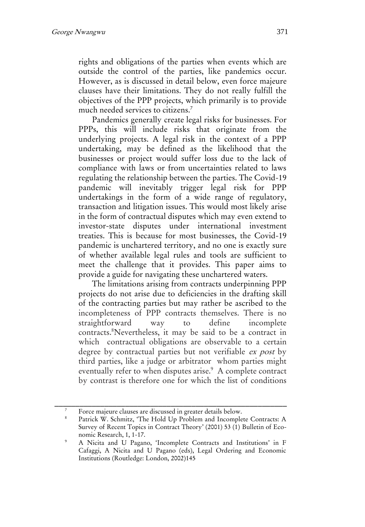rights and obligations of the parties when events which are outside the control of the parties, like pandemics occur. However, as is discussed in detail below, even force majeure clauses have their limitations. They do not really fulfill the objectives of the PPP projects, which primarily is to provide much needed services to citizens.<sup>7</sup>

Pandemics generally create legal risks for businesses. For PPPs, this will include risks that originate from the underlying projects. A legal risk in the context of a PPP undertaking, may be defined as the likelihood that the businesses or project would suffer loss due to the lack of compliance with laws or from uncertainties related to laws regulating the relationship between the parties. The Covid-19 pandemic will inevitably trigger legal risk for PPP undertakings in the form of a wide range of regulatory, transaction and litigation issues. This would most likely arise in the form of contractual disputes which may even extend to investor-state disputes under international investment treaties. This is because for most businesses, the Covid-19 pandemic is unchartered territory, and no one is exactly sure of whether available legal rules and tools are sufficient to meet the challenge that it provides. This paper aims to provide a guide for navigating these unchartered waters.

The limitations arising from contracts underpinning PPP projects do not arise due to deficiencies in the drafting skill of the contracting parties but may rather be ascribed to the incompleteness of PPP contracts themselves. There is no straightforward way to define incomplete contracts.<sup>8</sup>Nevertheless, it may be said to be a contract in which contractual obligations are observable to a certain degree by contractual parties but not verifiable ex post by third parties, like a judge or arbitrator whom parties might eventually refer to when disputes arise.<sup>9</sup> A complete contract by contrast is therefore one for which the list of conditions

\_\_\_\_\_\_\_\_\_\_\_\_\_\_\_\_\_\_\_\_\_\_\_\_\_\_\_\_\_\_\_\_\_\_\_\_\_\_\_\_\_\_\_\_\_\_\_\_\_\_\_\_\_\_\_\_ Force majeure clauses are discussed in greater details below.

<sup>8</sup> Patrick W. Schmitz, 'The Hold Up Problem and Incomplete Contracts: A Survey of Recent Topics in Contract Theory' (2001) 53 (1) Bulletin of Economic Research, 1, 1-17.

<sup>9</sup> A Nicita and U Pagano, 'Incomplete Contracts and Institutions' in F Cafaggi, A Nicita and U Pagano (eds), Legal Ordering and Economic Institutions (Routledge: London, 2002)145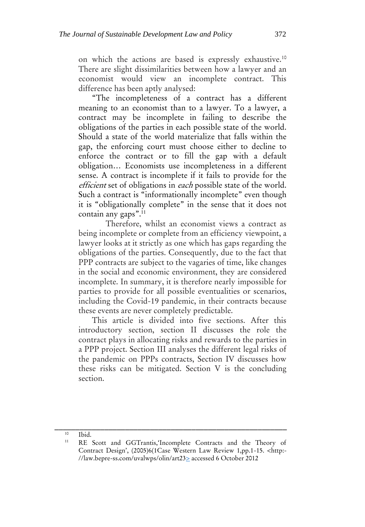on which the actions are based is expressly exhaustive.<sup>10</sup> There are slight dissimilarities between how a lawyer and an economist would view an incomplete contract. This difference has been aptly analysed:

"The incompleteness of a contract has a different meaning to an economist than to a lawyer. To a lawyer, a contract may be incomplete in failing to describe the obligations of the parties in each possible state of the world. Should a state of the world materialize that falls within the gap, the enforcing court must choose either to decline to enforce the contract or to fill the gap with a default obligation… Economists use incompleteness in a different sense. A contract is incomplete if it fails to provide for the efficient set of obligations in each possible state of the world. Such a contract is "informationally incomplete" even though it is "obligationally complete" in the sense that it does not contain any gaps".<sup>11</sup>

Therefore, whilst an economist views a contract as being incomplete or complete from an efficiency viewpoint, a lawyer looks at it strictly as one which has gaps regarding the obligations of the parties. Consequently, due to the fact that PPP contracts are subject to the vagaries of time, like changes in the social and economic environment, they are considered incomplete. In summary, it is therefore nearly impossible for parties to provide for all possible eventualities or scenarios, including the Covid-19 pandemic, in their contracts because these events are never completely predictable.

This article is divided into five sections. After this introductory section, section II discusses the role the contract plays in allocating risks and rewards to the parties in a PPP project. Section III analyses the different legal risks of the pandemic on PPPs contracts, Section IV discusses how these risks can be mitigated. Section V is the concluding section.

<sup>10</sup> Ibid.

RE Scott and GGTrantis,'Incomplete Contracts and the Theory of Contract Design', (2005)6(1Case Western Law Review 1,pp.1-15. <http:- //law.bepre-ss.com/uvalwps/olin/art23> accessed 6 October 2012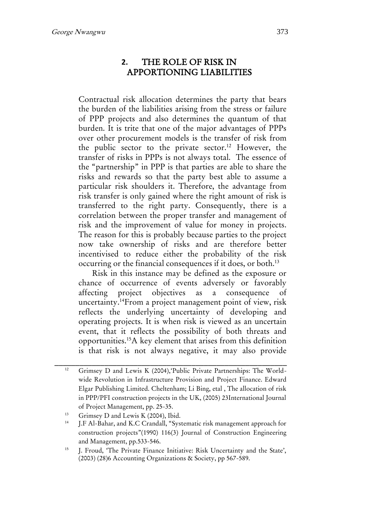## **2.** THE ROLE OF RISK IN APPORTIONING LIABILITIES

Contractual risk allocation determines the party that bears the burden of the liabilities arising from the stress or failure of PPP projects and also determines the quantum of that burden. It is trite that one of the major advantages of PPPs over other procurement models is the transfer of risk from the public sector to the private sector.<sup>12</sup> However, the transfer of risks in PPPs is not always total. The essence of the "partnership" in PPP is that parties are able to share the risks and rewards so that the party best able to assume a particular risk shoulders it. Therefore, the advantage from risk transfer is only gained where the right amount of risk is transferred to the right party. Consequently, there is a correlation between the proper transfer and management of risk and the improvement of value for money in projects. The reason for this is probably because parties to the project now take ownership of risks and are therefore better incentivised to reduce either the probability of the risk occurring or the financial consequences if it does, or both.<sup>13</sup>

Risk in this instance may be defined as the exposure or chance of occurrence of events adversely or favorably affecting project objectives as a consequence of uncertainty.<sup>14</sup>From a project management point of view, risk reflects the underlying uncertainty of developing and operating projects. It is when risk is viewed as an uncertain event, that it reflects the possibility of both threats and opportunities.<sup>15</sup>A key element that arises from this definition is that risk is not always negative, it may also provide

\_\_\_\_\_\_\_\_\_\_\_\_\_\_\_\_\_\_\_\_\_\_\_\_\_\_\_\_\_\_\_\_\_\_\_\_\_\_\_\_\_\_\_\_\_\_\_\_\_\_\_\_\_\_\_\_ <sup>12</sup> Grimsey D and Lewis K (2004), 'Public Private Partnerships: The Worldwide Revolution in Infrastructure Provision and Project Finance. Edward Elgar Publishing Limited. Cheltenham; Li Bing, etal , The allocation of risk in PPP/PFI construction projects in the UK, (2005) 23International Journal of Project Management, pp. 25-35.

<sup>&</sup>lt;sup>13</sup> Grimsey D and Lewis K (2004), Ibid.

<sup>14</sup> J.F Al-Bahar, and K.C Crandall, "Systematic risk management approach for construction projects"(1990) 116(3) Journal of Construction Engineering and Management, pp.533-546.

<sup>&</sup>lt;sup>15</sup> J. Froud, 'The Private Finance Initiative: Risk Uncertainty and the State', (2003) (28)6 Accounting Organizations & Society, pp 567-589.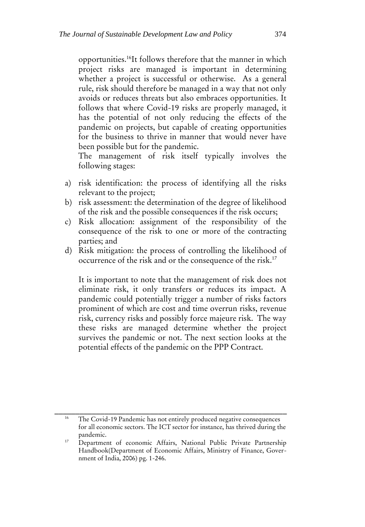opportunities.<sup>16</sup>It follows therefore that the manner in which project risks are managed is important in determining whether a project is successful or otherwise. As a general rule, risk should therefore be managed in a way that not only avoids or reduces threats but also embraces opportunities. It follows that where Covid-19 risks are properly managed, it has the potential of not only reducing the effects of the pandemic on projects, but capable of creating opportunities for the business to thrive in manner that would never have been possible but for the pandemic.

The management of risk itself typically involves the following stages:

- a) risk identification: the process of identifying all the risks relevant to the project;
- b) risk assessment: the determination of the degree of likelihood of the risk and the possible consequences if the risk occurs;
- c) Risk allocation: assignment of the responsibility of the consequence of the risk to one or more of the contracting parties; and
- d) Risk mitigation: the process of controlling the likelihood of occurrence of the risk and or the consequence of the risk.<sup>17</sup>

It is important to note that the management of risk does not eliminate risk, it only transfers or reduces its impact. A pandemic could potentially trigger a number of risks factors prominent of which are cost and time overrun risks, revenue risk, currency risks and possibly force majeure risk. The way these risks are managed determine whether the project survives the pandemic or not. The next section looks at the potential effects of the pandemic on the PPP Contract.

The Covid-19 Pandemic has not entirely produced negative consequences for all economic sectors. The ICT sector for instance, has thrived during the pandemic.

Department of economic Affairs, National Public Private Partnership Handbook(Department of Economic Affairs, Ministry of Finance, Government of India, 2006) pg. 1-246.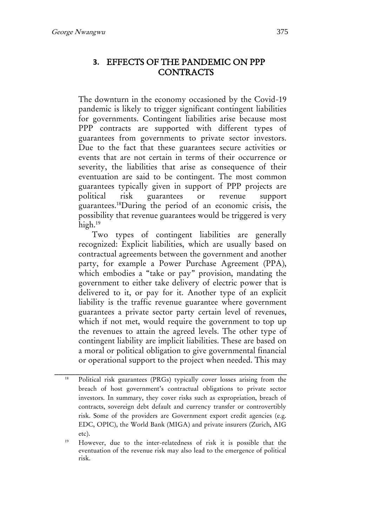# **3.** EFFECTS OF THE PANDEMIC ON PPP **CONTRACTS**

The downturn in the economy occasioned by the Covid-19 pandemic is likely to trigger significant contingent liabilities for governments. Contingent liabilities arise because most PPP contracts are supported with different types of guarantees from governments to private sector investors. Due to the fact that these guarantees secure activities or events that are not certain in terms of their occurrence or severity, the liabilities that arise as consequence of their eventuation are said to be contingent. The most common guarantees typically given in support of PPP projects are political risk guarantees or revenue support guarantees.<sup>18</sup>During the period of an economic crisis, the possibility that revenue guarantees would be triggered is very high.<sup>19</sup>

Two types of contingent liabilities are generally recognized: Explicit liabilities, which are usually based on contractual agreements between the government and another party, for example a Power Purchase Agreement (PPA), which embodies a "take or pay" provision, mandating the government to either take delivery of electric power that is delivered to it, or pay for it. Another type of an explicit liability is the traffic revenue guarantee where government guarantees a private sector party certain level of revenues, which if not met, would require the government to top up the revenues to attain the agreed levels. The other type of contingent liability are implicit liabilities. These are based on a moral or political obligation to give governmental financial or operational support to the project when needed. This may

\_\_\_\_\_\_\_\_\_\_\_\_\_\_\_\_\_\_\_\_\_\_\_\_\_\_\_\_\_\_\_\_\_\_\_\_\_\_\_\_\_\_\_\_\_\_\_\_\_\_\_\_\_\_\_\_ Political risk guarantees (PRGs) typically cover losses arising from the breach of host government's contractual obligations to private sector investors. In summary, they cover risks such as expropriation, breach of contracts, sovereign debt default and currency transfer or controvertibly risk. Some of the providers are Government export credit agencies (e.g. EDC, OPIC), the World Bank (MIGA) and private insurers (Zurich, AIG etc).

<sup>19</sup> However, due to the inter-relatedness of risk it is possible that the eventuation of the revenue risk may also lead to the emergence of political risk.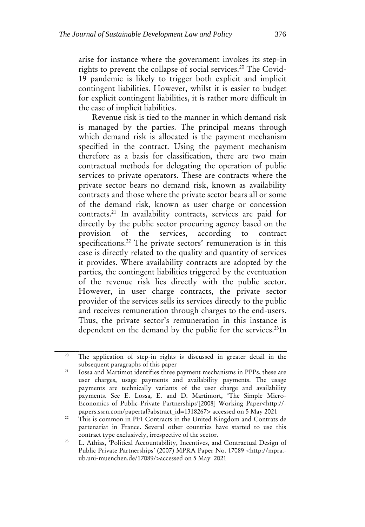arise for instance where the government invokes its step-in rights to prevent the collapse of social services.<sup>20</sup> The Covid-19 pandemic is likely to trigger both explicit and implicit contingent liabilities. However, whilst it is easier to budget for explicit contingent liabilities, it is rather more difficult in the case of implicit liabilities.

Revenue risk is tied to the manner in which demand risk is managed by the parties. The principal means through which demand risk is allocated is the payment mechanism specified in the contract. Using the payment mechanism therefore as a basis for classification, there are two main contractual methods for delegating the operation of public services to private operators. These are contracts where the private sector bears no demand risk, known as availability contracts and those where the private sector bears all or some of the demand risk, known as user charge or concession contracts.<sup>21</sup> In availability contracts, services are paid for directly by the public sector procuring agency based on the provision of the services, according to contract specifications.<sup>22</sup> The private sectors' remuneration is in this case is directly related to the quality and quantity of services it provides. Where availability contracts are adopted by the parties, the contingent liabilities triggered by the eventuation of the revenue risk lies directly with the public sector. However, in user charge contracts, the private sector provider of the services sells its services directly to the public and receives remuneration through charges to the end-users. Thus, the private sector's remuneration in this instance is dependent on the demand by the public for the services.<sup>23</sup>In

<sup>&</sup>lt;sup>20</sup> The application of step-in rights is discussed in greater detail in the subsequent paragraphs of this paper

<sup>&</sup>lt;sup>21</sup> Iossa and Martimot identifies three payment mechanisms in PPPs, these are user charges, usage payments and availability payments. The usage payments are technically variants of the user charge and availability payments. See E. Lossa, E. and D. Martimort, 'The Simple Micro-Economics of Public-Private Partnerships'[2008] Working Paper<http:// papers.ssrn.com/papertaf?abstract\_id=1318267> accessed on 5 May 2021

<sup>&</sup>lt;sup>22</sup> This is common in PFI Contracts in the United Kingdom and Contrats de partenariat in France. Several other countries have started to use this contract type exclusively, irrespective of the sector.

<sup>&</sup>lt;sup>23</sup> L. Athias, 'Political Accountability, Incentives, and Contractual Design of Public Private Partnerships' (2007) MPRA Paper No. 17089 <http://mpra.ub.uni-muenchen.de/17089/>accessed on 5 May 2021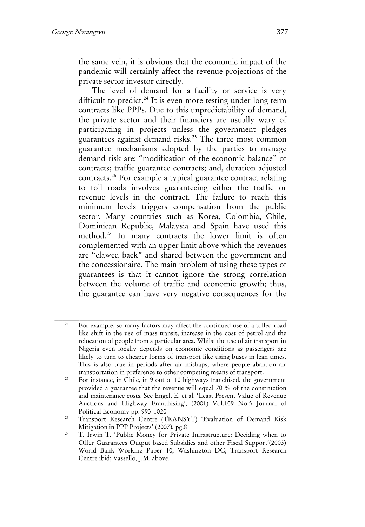the same vein, it is obvious that the economic impact of the pandemic will certainly affect the revenue projections of the private sector investor directly.

The level of demand for a facility or service is very difficult to predict.<sup>24</sup> It is even more testing under long term contracts like PPPs. Due to this unpredictability of demand, the private sector and their financiers are usually wary of participating in projects unless the government pledges guarantees against demand risks.<sup>25</sup> The three most common guarantee mechanisms adopted by the parties to manage demand risk are: "modification of the economic balance" of contracts; traffic guarantee contracts; and, duration adjusted contracts.<sup>26</sup> For example a typical guarantee contract relating to toll roads involves guaranteeing either the traffic or revenue levels in the contract. The failure to reach this minimum levels triggers compensation from the public sector. Many countries such as Korea, Colombia, Chile, Dominican Republic, Malaysia and Spain have used this method.<sup>27</sup> In many contracts the lower limit is often complemented with an upper limit above which the revenues are "clawed back" and shared between the government and the concessionaire. The main problem of using these types of guarantees is that it cannot ignore the strong correlation between the volume of traffic and economic growth; thus, the guarantee can have very negative consequences for the

\_\_\_\_\_\_\_\_\_\_\_\_\_\_\_\_\_\_\_\_\_\_\_\_\_\_\_\_\_\_\_\_\_\_\_\_\_\_\_\_\_\_\_\_\_\_\_\_\_\_\_\_\_\_\_\_ <sup>24</sup> For example, so many factors may affect the continued use of a tolled road like shift in the use of mass transit, increase in the cost of petrol and the relocation of people from a particular area. Whilst the use of air transport in Nigeria even locally depends on economic conditions as passengers are likely to turn to cheaper forms of transport like using buses in lean times. This is also true in periods after air mishaps, where people abandon air transportation in preference to other competing means of transport.

<sup>&</sup>lt;sup>25</sup> For instance, in Chile, in 9 out of 10 highways franchised, the government provided a guarantee that the revenue will equal 70 % of the construction and maintenance costs. See Engel, E. et al. 'Least Present Value of Revenue Auctions and Highway Franchising', (2001) Vol.109 No.5 Journal of Political Economy pp. 993-1020

<sup>&</sup>lt;sup>26</sup> Transport Research Centre (TRANSYT) 'Evaluation of Demand Risk Mitigation in PPP Projects' (2007), pg.8

<sup>&</sup>lt;sup>27</sup> T. Irwin T. 'Public Money for Private Infrastructure: Deciding when to Offer Guarantees Output based Subsidies and other Fiscal Support'(2003) World Bank Working Paper 10, Washington DC; Transport Research Centre ibid; Vassello, J.M. above.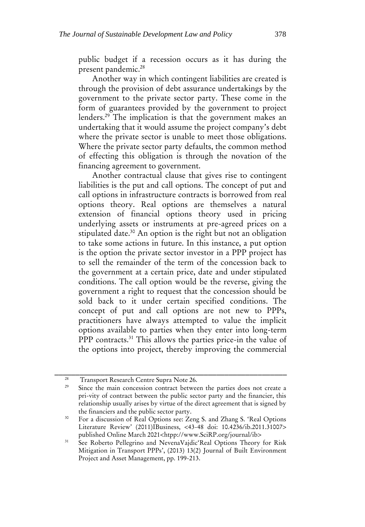public budget if a recession occurs as it has during the present pandemic.<sup>28</sup>

Another way in which contingent liabilities are created is through the provision of debt assurance undertakings by the government to the private sector party. These come in the form of guarantees provided by the government to project lenders.<sup>29</sup> The implication is that the government makes an undertaking that it would assume the project company's debt where the private sector is unable to meet those obligations. Where the private sector party defaults, the common method of effecting this obligation is through the novation of the financing agreement to government.

Another contractual clause that gives rise to contingent liabilities is the put and call options. The concept of put and call options in infrastructure contracts is borrowed from real options theory. Real options are themselves a natural extension of financial options theory used in pricing underlying assets or instruments at pre-agreed prices on a stipulated date.<sup>30</sup> An option is the right but not an obligation to take some actions in future. In this instance, a put option is the option the private sector investor in a PPP project has to sell the remainder of the term of the concession back to the government at a certain price, date and under stipulated conditions. The call option would be the reverse, giving the government a right to request that the concession should be sold back to it under certain specified conditions. The concept of put and call options are not new to PPPs, practitioners have always attempted to value the implicit options available to parties when they enter into long-term PPP contracts.<sup>31</sup> This allows the parties price-in the value of the options into project, thereby improving the commercial

<sup>28</sup> Transport Research Centre Supra Note 26.

Since the main concession contract between the parties does not create a pri-vity of contract between the public sector party and the financier, this relationship usually arises by virtue of the direct agreement that is signed by the financiers and the public sector party.

<sup>&</sup>lt;sup>30</sup> For a discussion of Real Options see: Zeng S. and Zhang S. 'Real Options Literature Review' (2011)IBusiness, <43-48 doi: 10.4236/ib.2011.31007> published Online March 2021<htpp://www.SciRP.org/journal/ib>

<sup>&</sup>lt;sup>31</sup> See Roberto Pellegrino and NevenaVajdic'Real Options Theory for Risk Mitigation in Transport PPPs', (2013) 13(2) Journal of Built Environment Project and Asset Management, pp. 199-213.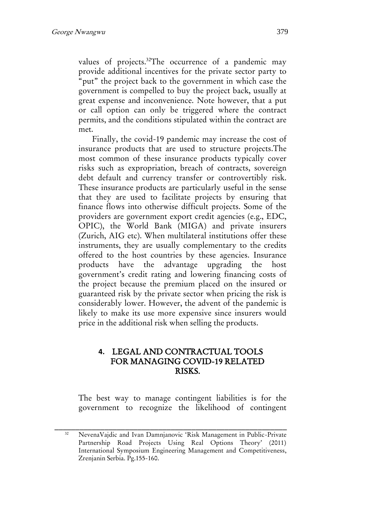values of projects.<sup>32</sup>The occurrence of a pandemic may provide additional incentives for the private sector party to "put" the project back to the government in which case the government is compelled to buy the project back, usually at great expense and inconvenience. Note however, that a put or call option can only be triggered where the contract permits, and the conditions stipulated within the contract are met.

Finally, the covid-19 pandemic may increase the cost of insurance products that are used to structure projects.The most common of these insurance products typically cover risks such as expropriation, breach of contracts, sovereign debt default and currency transfer or controvertibly risk. These insurance products are particularly useful in the sense that they are used to facilitate projects by ensuring that finance flows into otherwise difficult projects. Some of the providers are government export credit agencies (e.g., EDC, OPIC), the World Bank (MIGA) and private insurers (Zurich, AIG etc). When multilateral institutions offer these instruments, they are usually complementary to the credits offered to the host countries by these agencies. Insurance products have the advantage upgrading the host government's credit rating and lowering financing costs of the project because the premium placed on the insured or guaranteed risk by the private sector when pricing the risk is considerably lower. However, the advent of the pandemic is likely to make its use more expensive since insurers would price in the additional risk when selling the products.

**4.** LEGAL AND CONTRACTUAL TOOLS FOR MANAGING COVID-19 RELATED RISKS.

## The best way to manage contingent liabilities is for the government to recognize the likelihood of contingent

\_\_\_\_\_\_\_\_\_\_\_\_\_\_\_\_\_\_\_\_\_\_\_\_\_\_\_\_\_\_\_\_\_\_\_\_\_\_\_\_\_\_\_\_\_\_\_\_\_\_\_\_\_\_\_\_ <sup>32</sup> NevenaVajdic and Ivan Damnjanovic 'Risk Management in Public-Private Partnership Road Projects Using Real Options Theory' (2011) International Symposium Engineering Management and Competitiveness, Zrenjanin Serbia. Pg.155-160.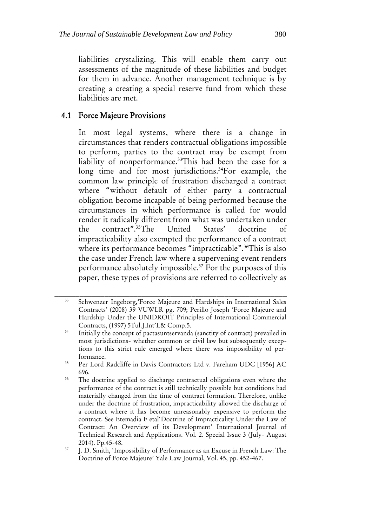liabilities crystalizing. This will enable them carry out assessments of the magnitude of these liabilities and budget for them in advance. Another management technique is by creating a creating a special reserve fund from which these liabilities are met.

#### 4.1 Force Majeure Provisions

In most legal systems, where there is a change in circumstances that renders contractual obligations impossible to perform, parties to the contract may be exempt from liability of nonperformance.<sup>33</sup>This had been the case for a long time and for most jurisdictions.<sup>34</sup>For example, the common law principle of frustration discharged a contract where "without default of either party a contractual obligation become incapable of being performed because the circumstances in which performance is called for would render it radically different from what was undertaken under the contract".<sup>35</sup>The United States' doctrine of impracticability also exempted the performance of a contract where its performance becomes "impracticable".<sup>36</sup>This is also the case under French law where a supervening event renders performance absolutely impossible.<sup>37</sup> For the purposes of this paper, these types of provisions are referred to collectively as

Schwenzer Ingeborg,'Force Majeure and Hardships in International Sales Contracts' (2008) 39 VUWLR pg. 709; Perillo Joseph 'Force Majeure and Hardship Under the UNIDROIT Principles of International Commercial Contracts, (1997) 5Tul.J.Int'L& Comp.5.

<sup>&</sup>lt;sup>34</sup> Initially the concept of pactasuntservanda (sanctity of contract) prevailed in most jurisdictions- whether common or civil law but subsequently exceptions to this strict rule emerged where there was impossibility of performance.

<sup>35</sup> Per Lord Radcliffe in Davis Contractors Ltd v. Fareham UDC [1956] AC 696.

<sup>&</sup>lt;sup>36</sup> The doctrine applied to discharge contractual obligations even where the performance of the contract is still technically possible but conditions had materially changed from the time of contract formation. Therefore, unlike under the doctrine of frustration, impracticability allowed the discharge of a contract where it has become unreasonably expensive to perform the contract. See Etemadia F etal'Doctrine of Impracticality Under the Law of Contract: An Overview of its Development' International Journal of Technical Research and Applications. Vol. 2. Special Issue 3 (July- August 2014). Pp.45-48.

<sup>&</sup>lt;sup>37</sup> J. D. Smith, 'Impossibility of Performance as an Excuse in French Law: The Doctrine of Force Majeure' Yale Law Journal, Vol. 45, pp. 452-467.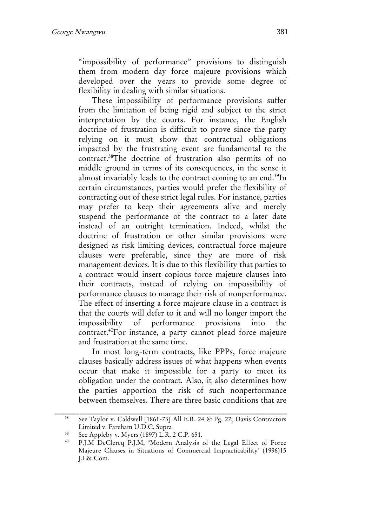"impossibility of performance" provisions to distinguish them from modern day force majeure provisions which developed over the years to provide some degree of flexibility in dealing with similar situations.

These impossibility of performance provisions suffer from the limitation of being rigid and subject to the strict interpretation by the courts. For instance, the English doctrine of frustration is difficult to prove since the party relying on it must show that contractual obligations impacted by the frustrating event are fundamental to the contract.<sup>38</sup>The doctrine of frustration also permits of no middle ground in terms of its consequences, in the sense it almost invariably leads to the contract coming to an end.<sup>39</sup>In certain circumstances, parties would prefer the flexibility of contracting out of these strict legal rules. For instance, parties may prefer to keep their agreements alive and merely suspend the performance of the contract to a later date instead of an outright termination. Indeed, whilst the doctrine of frustration or other similar provisions were designed as risk limiting devices, contractual force majeure clauses were preferable, since they are more of risk management devices. It is due to this flexibility that parties to a contract would insert copious force majeure clauses into their contracts, instead of relying on impossibility of performance clauses to manage their risk of nonperformance. The effect of inserting a force majeure clause in a contract is that the courts will defer to it and will no longer import the impossibility of performance provisions into the contract.<sup>40</sup>For instance, a party cannot plead force majeure and frustration at the same time.

In most long-term contracts, like PPPs, force majeure clauses basically address issues of what happens when events occur that make it impossible for a party to meet its obligation under the contract. Also, it also determines how the parties apportion the risk of such nonperformance between themselves. There are three basic conditions that are

\_\_\_\_\_\_\_\_\_\_\_\_\_\_\_\_\_\_\_\_\_\_\_\_\_\_\_\_\_\_\_\_\_\_\_\_\_\_\_\_\_\_\_\_\_\_\_\_\_\_\_\_\_\_\_\_ <sup>38</sup> See Taylor v. Caldwell [1861-73] All E.R. 24 @ Pg. 27; Davis Contractors Limited v. Fareham U.D.C. Supra

<sup>&</sup>lt;sup>39</sup> See Appleby v. Myers (1897) L.R. 2 C.P. 651.

P.J.M DeClercq P.J.M, 'Modern Analysis of the Legal Effect of Force Majeure Clauses in Situations of Commercial Impracticability' (1996)15 J.L& Com.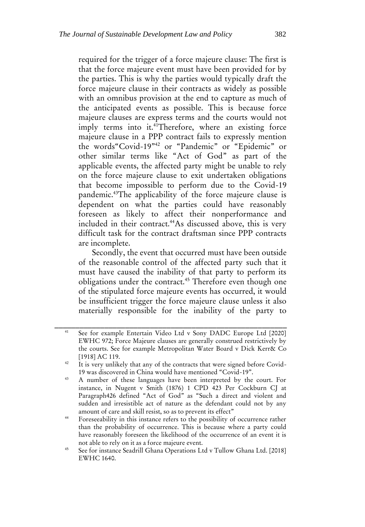required for the trigger of a force majeure clause: The first is that the force majeure event must have been provided for by the parties. This is why the parties would typically draft the force majeure clause in their contracts as widely as possible with an omnibus provision at the end to capture as much of the anticipated events as possible. This is because force majeure clauses are express terms and the courts would not imply terms into it.<sup>41</sup>Therefore, where an existing force majeure clause in a PPP contract fails to expressly mention the words"Covid-19"<sup>42</sup> or "Pandemic" or "Epidemic" or other similar terms like "Act of God" as part of the applicable events, the affected party might be unable to rely on the force majeure clause to exit undertaken obligations that become impossible to perform due to the Covid-19 pandemic.<sup>43</sup>The applicability of the force majeure clause is dependent on what the parties could have reasonably foreseen as likely to affect their nonperformance and included in their contract.<sup>44</sup>As discussed above, this is very difficult task for the contract draftsman since PPP contracts are incomplete.

Secondly, the event that occurred must have been outside of the reasonable control of the affected party such that it must have caused the inability of that party to perform its obligations under the contract.<sup>45</sup> Therefore even though one of the stipulated force majeure events has occurred, it would be insufficient trigger the force majeure clause unless it also materially responsible for the inability of the party to

<sup>41</sup> See for example Entertain Video Ltd v Sony DADC Europe Ltd [2020] EWHC 972; Force Majeure clauses are generally construed restrictively by the courts. See for example Metropolitan Water Board v Dick Kerr& Co [1918] AC 119.

<sup>&</sup>lt;sup>42</sup> It is very unlikely that any of the contracts that were signed before Covid-19 was discovered in China would have mentioned "Covid-19".

<sup>43</sup> A number of these languages have been interpreted by the court. For instance, in Nugent v Smith (1876) 1 CPD 423 Per Cockburn CJ at Paragraph426 defined "Act of God" as "Such a direct and violent and sudden and irresistible act of nature as the defendant could not by any amount of care and skill resist, so as to prevent its effect"

<sup>44</sup> Foreseeability in this instance refers to the possibility of occurrence rather than the probability of occurrence. This is because where a party could have reasonably foreseen the likelihood of the occurrence of an event it is not able to rely on it as a force majeure event.

<sup>45</sup> See for instance Seadrill Ghana Operations Ltd v Tullow Ghana Ltd. [2018] EWHC 1640.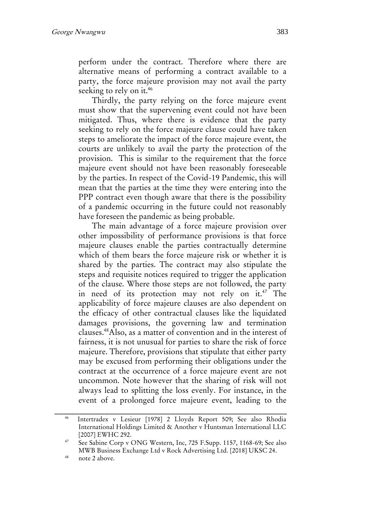perform under the contract. Therefore where there are alternative means of performing a contract available to a party, the force majeure provision may not avail the party seeking to rely on it.<sup>46</sup>

Thirdly, the party relying on the force majeure event must show that the supervening event could not have been mitigated. Thus, where there is evidence that the party seeking to rely on the force majeure clause could have taken steps to ameliorate the impact of the force majeure event, the courts are unlikely to avail the party the protection of the provision. This is similar to the requirement that the force majeure event should not have been reasonably foreseeable by the parties. In respect of the Covid-19 Pandemic, this will mean that the parties at the time they were entering into the PPP contract even though aware that there is the possibility of a pandemic occurring in the future could not reasonably have foreseen the pandemic as being probable.

The main advantage of a force majeure provision over other impossibility of performance provisions is that force majeure clauses enable the parties contractually determine which of them bears the force majeure risk or whether it is shared by the parties. The contract may also stipulate the steps and requisite notices required to trigger the application of the clause. Where those steps are not followed, the party in need of its protection may not rely on it.<sup>47</sup> The applicability of force majeure clauses are also dependent on the efficacy of other contractual clauses like the liquidated damages provisions, the governing law and termination clauses.<sup>48</sup>Also, as a matter of convention and in the interest of fairness, it is not unusual for parties to share the risk of force majeure. Therefore, provisions that stipulate that either party may be excused from performing their obligations under the contract at the occurrence of a force majeure event are not uncommon. Note however that the sharing of risk will not always lead to splitting the loss evenly. For instance, in the event of a prolonged force majeure event, leading to the

\_\_\_\_\_\_\_\_\_\_\_\_\_\_\_\_\_\_\_\_\_\_\_\_\_\_\_\_\_\_\_\_\_\_\_\_\_\_\_\_\_\_\_\_\_\_\_\_\_\_\_\_\_\_\_\_ <sup>46</sup> Intertradex v Lesieur [1978] 2 Lloyds Report 509; See also Rhodia International Holdings Limited & Another v Huntsman International LLC [2007] EWHC 292.

See Sabine Corp v ONG Western, Inc, 725 F.Supp. 1157, 1168-69; See also MWB Business Exchange Ltd v Rock Advertising Ltd. [2018] UKSC 24.

<sup>48</sup> note 2 above.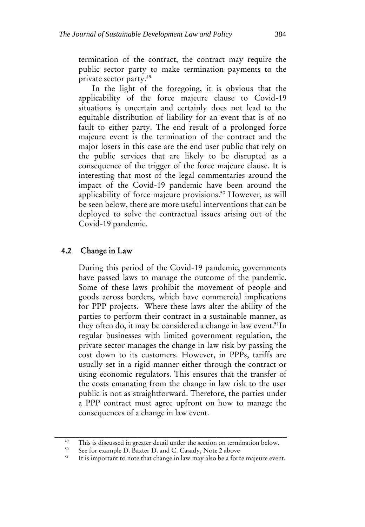termination of the contract, the contract may require the public sector party to make termination payments to the private sector party.<sup>49</sup>

In the light of the foregoing, it is obvious that the applicability of the force majeure clause to Covid-19 situations is uncertain and certainly does not lead to the equitable distribution of liability for an event that is of no fault to either party. The end result of a prolonged force majeure event is the termination of the contract and the major losers in this case are the end user public that rely on the public services that are likely to be disrupted as a consequence of the trigger of the force majeure clause. It is interesting that most of the legal commentaries around the impact of the Covid-19 pandemic have been around the applicability of force majeure provisions.<sup>50</sup> However, as will be seen below, there are more useful interventions that can be deployed to solve the contractual issues arising out of the Covid-19 pandemic.

### 4.2 Change in Law

During this period of the Covid-19 pandemic, governments have passed laws to manage the outcome of the pandemic. Some of these laws prohibit the movement of people and goods across borders, which have commercial implications for PPP projects. Where these laws alter the ability of the parties to perform their contract in a sustainable manner, as they often do, it may be considered a change in law event.<sup>51</sup>In regular businesses with limited government regulation, the private sector manages the change in law risk by passing the cost down to its customers. However, in PPPs, tariffs are usually set in a rigid manner either through the contract or using economic regulators. This ensures that the transfer of the costs emanating from the change in law risk to the user public is not as straightforward. Therefore, the parties under a PPP contract must agree upfront on how to manage the consequences of a change in law event.

\_\_\_\_\_\_\_\_\_\_\_\_\_\_\_\_\_\_\_\_\_\_\_\_\_\_\_\_\_\_\_\_\_\_\_\_\_\_\_\_\_\_\_\_\_\_\_\_\_\_\_\_\_\_\_\_ <sup>49</sup> This is discussed in greater detail under the section on termination below.<br><sup>50</sup> See for grapple D, Beyter D, and C, Caesdy, Nete 2 share.

 $50$  See for example D. Baxter D. and C. Casady, Note 2 above<br> $51$  It is important to note that change in law may also be a force

It is important to note that change in law may also be a force majeure event.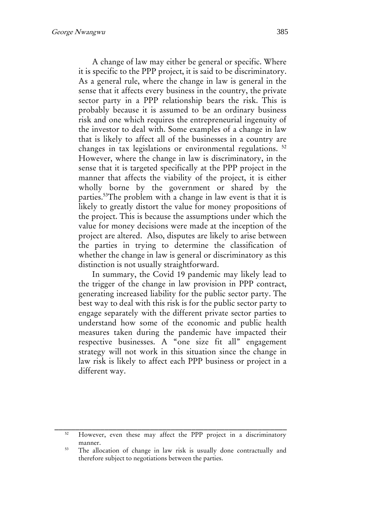A change of law may either be general or specific. Where it is specific to the PPP project, it is said to be discriminatory. As a general rule, where the change in law is general in the sense that it affects every business in the country, the private sector party in a PPP relationship bears the risk. This is probably because it is assumed to be an ordinary business risk and one which requires the entrepreneurial ingenuity of the investor to deal with. Some examples of a change in law that is likely to affect all of the businesses in a country are changes in tax legislations or environmental regulations. <sup>52</sup> However, where the change in law is discriminatory, in the sense that it is targeted specifically at the PPP project in the manner that affects the viability of the project, it is either wholly borne by the government or shared by the parties.<sup>53</sup>The problem with a change in law event is that it is likely to greatly distort the value for money propositions of the project. This is because the assumptions under which the value for money decisions were made at the inception of the project are altered. Also, disputes are likely to arise between the parties in trying to determine the classification of whether the change in law is general or discriminatory as this distinction is not usually straightforward.

In summary, the Covid 19 pandemic may likely lead to the trigger of the change in law provision in PPP contract, generating increased liability for the public sector party. The best way to deal with this risk is for the public sector party to engage separately with the different private sector parties to understand how some of the economic and public health measures taken during the pandemic have impacted their respective businesses. A "one size fit all" engagement strategy will not work in this situation since the change in law risk is likely to affect each PPP business or project in a different way.

\_\_\_\_\_\_\_\_\_\_\_\_\_\_\_\_\_\_\_\_\_\_\_\_\_\_\_\_\_\_\_\_\_\_\_\_\_\_\_\_\_\_\_\_\_\_\_\_\_\_\_\_\_\_\_\_ <sup>52</sup> However, even these may affect the PPP project in a discriminatory manner.

<sup>53</sup> The allocation of change in law risk is usually done contractually and therefore subject to negotiations between the parties.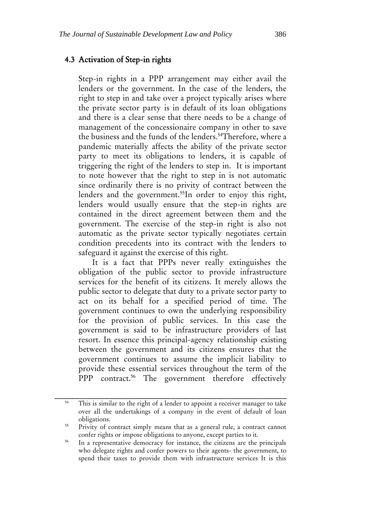#### 4.3 Activation of Step-in rights

Step-in rights in a PPP arrangement may either avail the lenders or the government. In the case of the lenders, the right to step in and take over a project typically arises where the private sector party is in default of its loan obligations and there is a clear sense that there needs to be a change of management of the concessionaire company in other to save the business and the funds of the lenders.<sup>54</sup>Therefore, where a pandemic materially affects the ability of the private sector party to meet its obligations to lenders, it is capable of triggering the right of the lenders to step in. It is important to note however that the right to step in is not automatic since ordinarily there is no privity of contract between the lenders and the government.<sup>55</sup>In order to enjoy this right, lenders would usually ensure that the step-in rights are contained in the direct agreement between them and the government. The exercise of the step-in right is also not automatic as the private sector typically negotiates certain condition precedents into its contract with the lenders to safeguard it against the exercise of this right.

It is a fact that PPPs never really extinguishes the obligation of the public sector to provide infrastructure services for the benefit of its citizens. It merely allows the public sector to delegate that duty to a private sector party to act on its behalf for a specified period of time. The government continues to own the underlying responsibility for the provision of public services. In this case the government is said to be infrastructure providers of last resort. In essence this principal-agency relationship existing between the government and its citizens ensures that the government continues to assume the implicit liability to provide these essential services throughout the term of the PPP contract.<sup>56</sup> The government therefore effectively

<sup>&</sup>lt;sup>54</sup> This is similar to the right of a lender to appoint a receiver manager to take over all the undertakings of a company in the event of default of loan obligations.

<sup>&</sup>lt;sup>55</sup> Privity of contract simply means that as a general rule, a contract cannot confer rights or impose obligations to anyone, except parties to it.

In a representative democracy for instance, the citizens are the principals who delegate rights and confer powers to their agents- the government, to spend their taxes to provide them with infrastructure services It is this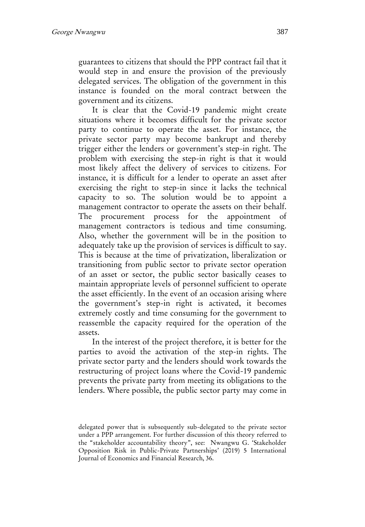guarantees to citizens that should the PPP contract fail that it would step in and ensure the provision of the previously delegated services. The obligation of the government in this instance is founded on the moral contract between the government and its citizens.

It is clear that the Covid-19 pandemic might create situations where it becomes difficult for the private sector party to continue to operate the asset. For instance, the private sector party may become bankrupt and thereby trigger either the lenders or government's step-in right. The problem with exercising the step-in right is that it would most likely affect the delivery of services to citizens. For instance, it is difficult for a lender to operate an asset after exercising the right to step-in since it lacks the technical capacity to so. The solution would be to appoint a management contractor to operate the assets on their behalf. The procurement process for the appointment of management contractors is tedious and time consuming. Also, whether the government will be in the position to adequately take up the provision of services is difficult to say. This is because at the time of privatization, liberalization or transitioning from public sector to private sector operation of an asset or sector, the public sector basically ceases to maintain appropriate levels of personnel sufficient to operate the asset efficiently. In the event of an occasion arising where the government's step-in right is activated, it becomes extremely costly and time consuming for the government to reassemble the capacity required for the operation of the assets.

In the interest of the project therefore, it is better for the parties to avoid the activation of the step-in rights. The private sector party and the lenders should work towards the restructuring of project loans where the Covid-19 pandemic prevents the private party from meeting its obligations to the lenders. Where possible, the public sector party may come in

delegated power that is subsequently sub-delegated to the private sector under a PPP arrangement. For further discussion of this theory referred to the "stakeholder accountability theory", see: Nwangwu G. 'Stakeholder Opposition Risk in Public-Private Partnerships' (2019) 5 International Journal of Economics and Financial Research, 36.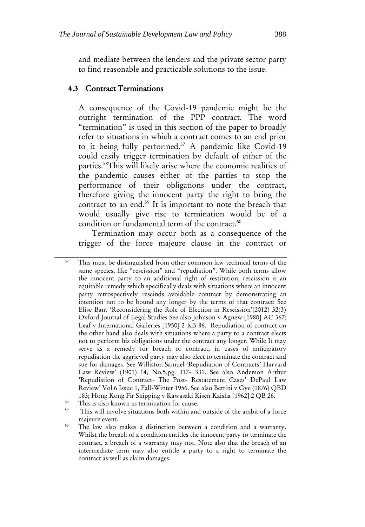and mediate between the lenders and the private sector party to find reasonable and practicable solutions to the issue.

#### 4.3 Contract Terminations

A consequence of the Covid-19 pandemic might be the outright termination of the PPP contract. The word "termination" is used in this section of the paper to broadly refer to situations in which a contract comes to an end prior to it being fully performed.<sup>57</sup> A pandemic like Covid-19 could easily trigger termination by default of either of the parties.<sup>58</sup>This will likely arise where the economic realities of the pandemic causes either of the parties to stop the performance of their obligations under the contract, therefore giving the innocent party the right to bring the contract to an end.<sup>59</sup> It is important to note the breach that would usually give rise to termination would be of a condition or fundamental term of the contract.<sup>60</sup>

Termination may occur both as a consequence of the trigger of the force majeure clause in the contract or

- $^{58}$  This is also known as termination for cause.
- This will involve situations both within and outside of the ambit of a force majeure event.
- <sup>60</sup> The law also makes a distinction between a condition and a warranty. Whilst the breach of a condition entitles the innocent party to terminate the contract, a breach of a warranty may not. Note also that the breach of an intermediate term may also entitle a party to a right to terminate the contract as well as claim damages.

<sup>&</sup>lt;sup>57</sup> This must be distinguished from other common law technical terms of the same species, like "rescission" and "repudiation". While both terms allow the innocent party to an additional right of restitution, rescission is an equitable remedy which specifically deals with situations where an innocent party retrospectively rescinds avoidable contract by demonstrating an intention not to be bound any longer by the terms of that contract: See Elise Bant 'Reconsidering the Role of Election in Rescission'(2012) 32(3) Oxford Journal of Legal Studies See also Johnson v Agnew [1980] AC 367; Leaf v International Galleries [1950] 2 KB 86. Repudiation of contract on the other hand also deals with situations where a party to a contract elects not to perform his obligations under the contract any longer. While It may serve as a remedy for breach of contract, in cases of anticipatory repudiation the aggrieved party may also elect to terminate the contract and sue for damages. See Williston Samuel 'Repudiation of Contracts' Harvard Law Review' (1901) 14, No.5,pg. 317- 331. See also Anderson Arthur 'Repudiation of Contract- The Post- Restatement Cases' DePaul Law Review' Vol.6 Issue 1, Fall-Winter 1956. See also Bettini v Gye (1876) QBD 183; Hong Kong Fir Shipping v Kawasaki Kisen Kaisha [1962] 2 QB 26.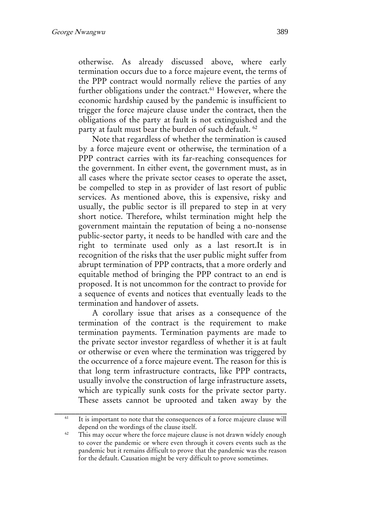otherwise. As already discussed above, where early termination occurs due to a force majeure event, the terms of the PPP contract would normally relieve the parties of any further obligations under the contract.<sup>61</sup> However, where the economic hardship caused by the pandemic is insufficient to trigger the force majeure clause under the contract, then the obligations of the party at fault is not extinguished and the party at fault must bear the burden of such default. <sup>62</sup>

Note that regardless of whether the termination is caused by a force majeure event or otherwise, the termination of a PPP contract carries with its far-reaching consequences for the government. In either event, the government must, as in all cases where the private sector ceases to operate the asset, be compelled to step in as provider of last resort of public services. As mentioned above, this is expensive, risky and usually, the public sector is ill prepared to step in at very short notice. Therefore, whilst termination might help the government maintain the reputation of being a no-nonsense public-sector party, it needs to be handled with care and the right to terminate used only as a last resort.It is in recognition of the risks that the user public might suffer from abrupt termination of PPP contracts, that a more orderly and equitable method of bringing the PPP contract to an end is proposed. It is not uncommon for the contract to provide for a sequence of events and notices that eventually leads to the termination and handover of assets.

A corollary issue that arises as a consequence of the termination of the contract is the requirement to make termination payments. Termination payments are made to the private sector investor regardless of whether it is at fault or otherwise or even where the termination was triggered by the occurrence of a force majeure event. The reason for this is that long term infrastructure contracts, like PPP contracts, usually involve the construction of large infrastructure assets, which are typically sunk costs for the private sector party. These assets cannot be uprooted and taken away by the

<sup>&</sup>lt;sup>61</sup> It is important to note that the consequences of a force majeure clause will depend on the wordings of the clause itself.

<sup>&</sup>lt;sup>62</sup> This may occur where the force majeure clause is not drawn widely enough to cover the pandemic or where even through it covers events such as the pandemic but it remains difficult to prove that the pandemic was the reason for the default. Causation might be very difficult to prove sometimes.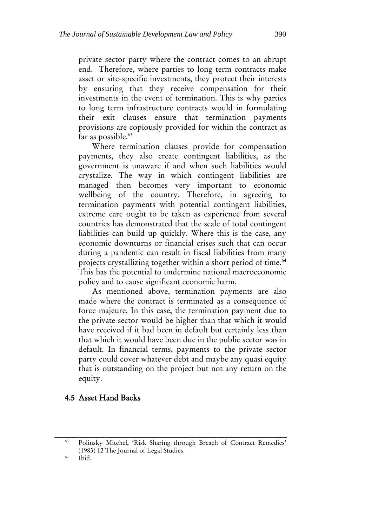private sector party where the contract comes to an abrupt end. Therefore, where parties to long term contracts make asset or site-specific investments, they protect their interests by ensuring that they receive compensation for their investments in the event of termination. This is why parties to long term infrastructure contracts would in formulating their exit clauses ensure that termination payments provisions are copiously provided for within the contract as far as possible.<sup>63</sup>

Where termination clauses provide for compensation payments, they also create contingent liabilities, as the government is unaware if and when such liabilities would crystalize. The way in which contingent liabilities are managed then becomes very important to economic wellbeing of the country. Therefore, in agreeing to termination payments with potential contingent liabilities, extreme care ought to be taken as experience from several countries has demonstrated that the scale of total contingent liabilities can build up quickly. Where this is the case, any economic downturns or financial crises such that can occur during a pandemic can result in fiscal liabilities from many projects crystallizing together within a short period of time.<sup>64</sup> This has the potential to undermine national macroeconomic policy and to cause significant economic harm.

As mentioned above, termination payments are also made where the contract is terminated as a consequence of force majeure. In this case, the termination payment due to the private sector would be higher than that which it would have received if it had been in default but certainly less than that which it would have been due in the public sector was in default. In financial terms, payments to the private sector party could cover whatever debt and maybe any quasi equity that is outstanding on the project but not any return on the equity.

#### 4.5 Asset Hand Backs

Polinsky Mitchel, 'Risk Sharing through Breach of Contract Remedies' (1983) 12 The Journal of Legal Studies.

<sup>64</sup> Ibid.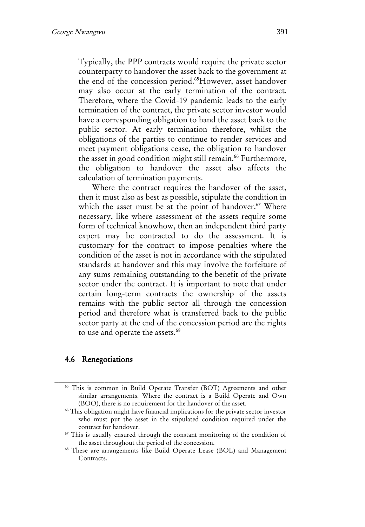Typically, the PPP contracts would require the private sector counterparty to handover the asset back to the government at the end of the concession period.<sup>65</sup>However, asset handover may also occur at the early termination of the contract. Therefore, where the Covid-19 pandemic leads to the early termination of the contract, the private sector investor would have a corresponding obligation to hand the asset back to the public sector. At early termination therefore, whilst the obligations of the parties to continue to render services and meet payment obligations cease, the obligation to handover the asset in good condition might still remain.<sup>66</sup> Furthermore, the obligation to handover the asset also affects the calculation of termination payments.

Where the contract requires the handover of the asset, then it must also as best as possible, stipulate the condition in which the asset must be at the point of handover.<sup>67</sup> Where necessary, like where assessment of the assets require some form of technical knowhow, then an independent third party expert may be contracted to do the assessment. It is customary for the contract to impose penalties where the condition of the asset is not in accordance with the stipulated standards at handover and this may involve the forfeiture of any sums remaining outstanding to the benefit of the private sector under the contract. It is important to note that under certain long-term contracts the ownership of the assets remains with the public sector all through the concession period and therefore what is transferred back to the public sector party at the end of the concession period are the rights to use and operate the assets.<sup>68</sup>

#### 4.6 Renegotiations

<sup>&</sup>lt;sup>65</sup> This is common in Build Operate Transfer (BOT) Agreements and other similar arrangements. Where the contract is a Build Operate and Own (BOO), there is no requirement for the handover of the asset.

<sup>66</sup> This obligation might have financial implications for the private sector investor who must put the asset in the stipulated condition required under the contract for handover.

<sup>&</sup>lt;sup>67</sup> This is usually ensured through the constant monitoring of the condition of the asset throughout the period of the concession.

<sup>68</sup> These are arrangements like Build Operate Lease (BOL) and Management Contracts.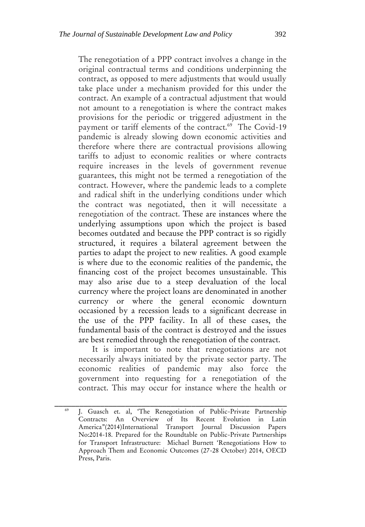The renegotiation of a PPP contract involves a change in the original contractual terms and conditions underpinning the contract, as opposed to mere adjustments that would usually take place under a mechanism provided for this under the contract. An example of a contractual adjustment that would not amount to a renegotiation is where the contract makes provisions for the periodic or triggered adjustment in the payment or tariff elements of the contract.<sup>69</sup> The Covid-19 pandemic is already slowing down economic activities and therefore where there are contractual provisions allowing tariffs to adjust to economic realities or where contracts require increases in the levels of government revenue guarantees, this might not be termed a renegotiation of the contract. However, where the pandemic leads to a complete and radical shift in the underlying conditions under which the contract was negotiated, then it will necessitate a renegotiation of the contract. These are instances where the underlying assumptions upon which the project is based becomes outdated and because the PPP contract is so rigidly structured, it requires a bilateral agreement between the parties to adapt the project to new realities. A good example is where due to the economic realities of the pandemic, the financing cost of the project becomes unsustainable. This may also arise due to a steep devaluation of the local currency where the project loans are denominated in another currency or where the general economic downturn occasioned by a recession leads to a significant decrease in the use of the PPP facility. In all of these cases, the fundamental basis of the contract is destroyed and the issues are best remedied through the renegotiation of the contract.

It is important to note that renegotiations are not necessarily always initiated by the private sector party. The economic realities of pandemic may also force the government into requesting for a renegotiation of the contract. This may occur for instance where the health or

<sup>&</sup>lt;sup>69</sup> J. Guasch et. al, 'The Renegotiation of Public-Private Partnership Contracts: An Overview of Its Recent Evolution in Latin America"(2014)International Transport Journal Discussion Papers No:2014-18. Prepared for the Roundtable on Public-Private Partnerships for Transport Infrastructure: Michael Burnett 'Renegotiations How to Approach Them and Economic Outcomes (27-28 October) 2014, OECD Press, Paris.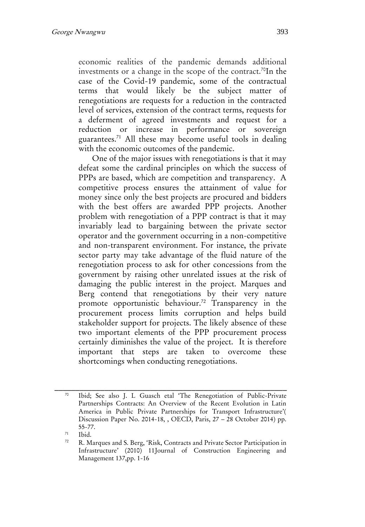economic realities of the pandemic demands additional investments or a change in the scope of the contract.<sup>70</sup>In the case of the Covid-19 pandemic, some of the contractual terms that would likely be the subject matter of renegotiations are requests for a reduction in the contracted level of services, extension of the contract terms, requests for a deferment of agreed investments and request for a reduction or increase in performance or sovereign guarantees.<sup>71</sup> All these may become useful tools in dealing with the economic outcomes of the pandemic.

One of the major issues with renegotiations is that it may defeat some the cardinal principles on which the success of PPPs are based, which are competition and transparency. A competitive process ensures the attainment of value for money since only the best projects are procured and bidders with the best offers are awarded PPP projects. Another problem with renegotiation of a PPP contract is that it may invariably lead to bargaining between the private sector operator and the government occurring in a non-competitive and non-transparent environment. For instance, the private sector party may take advantage of the fluid nature of the renegotiation process to ask for other concessions from the government by raising other unrelated issues at the risk of damaging the public interest in the project. Marques and Berg contend that renegotiations by their very nature promote opportunistic behaviour.<sup>72</sup> Transparency in the procurement process limits corruption and helps build stakeholder support for projects. The likely absence of these two important elements of the PPP procurement process certainly diminishes the value of the project. It is therefore important that steps are taken to overcome these shortcomings when conducting renegotiations.

\_\_\_\_\_\_\_\_\_\_\_\_\_\_\_\_\_\_\_\_\_\_\_\_\_\_\_\_\_\_\_\_\_\_\_\_\_\_\_\_\_\_\_\_\_\_\_\_\_\_\_\_\_\_\_\_ <sup>70</sup> Ibid; See also J. L Guasch etal 'The Renegotiation of Public-Private Partnerships Contracts: An Overview of the Recent Evolution in Latin America in Public Private Partnerships for Transport Infrastructure'( Discussion Paper No. 2014-18, , OECD, Paris, 27 – 28 October 2014) pp. 55-77.

 $\frac{71}{72}$  Ibid.

R. Marques and S. Berg, 'Risk, Contracts and Private Sector Participation in Infrastructure' (2010) 11Journal of Construction Engineering and Management 137,pp. 1-16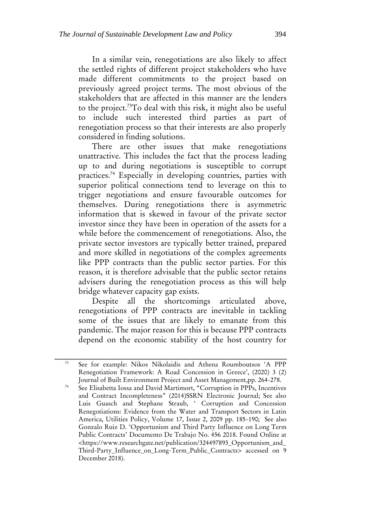In a similar vein, renegotiations are also likely to affect the settled rights of different project stakeholders who have made different commitments to the project based on previously agreed project terms. The most obvious of the stakeholders that are affected in this manner are the lenders to the project.<sup>73</sup>To deal with this risk, it might also be useful to include such interested third parties as part of renegotiation process so that their interests are also properly considered in finding solutions.

There are other issues that make renegotiations unattractive. This includes the fact that the process leading up to and during negotiations is susceptible to corrupt practices.<sup>74</sup> Especially in developing countries, parties with superior political connections tend to leverage on this to trigger negotiations and ensure favourable outcomes for themselves. During renegotiations there is asymmetric information that is skewed in favour of the private sector investor since they have been in operation of the assets for a while before the commencement of renegotiations. Also, the private sector investors are typically better trained, prepared and more skilled in negotiations of the complex agreements like PPP contracts than the public sector parties. For this reason, it is therefore advisable that the public sector retains advisers during the renegotiation process as this will help bridge whatever capacity gap exists.

Despite all the shortcomings articulated above, renegotiations of PPP contracts are inevitable in tackling some of the issues that are likely to emanate from this pandemic. The major reason for this is because PPP contracts depend on the economic stability of the host country for

<sup>73</sup> See for example: Nikos Nikolaidis and Athena Roumboutsos 'A PPP Renegotiation Framework: A Road Concession in Greece', (2020) 3 (2) Journal of Built Environment Project and Asset Management,pp. 264-278.

See Elisabetta Iossa and David Martimort, "Corruption in PPPs, Incentives and Contract Incompleteness" (2014)SSRN Electronic Journal; See also Luis Guasch and Stephane Straub, ' Corruption and Concession Renegotiations: Evidence from the Water and Transport Sectors in Latin America, Utilities Policy, Volume 17, Issue 2, 2009 pp. 185-190; See also Gonzalo Ruiz D. 'Opportunism and Third Party Influence on Long Term Public Contracts' Documento De Trabajo No. 456 2018. Found Online at <https://www.researchgate.net/publication/324497893\_Opportunism\_and\_ Third-Party\_Influence\_on\_Long-Term\_Public\_Contracts> accessed on 9 December 2018).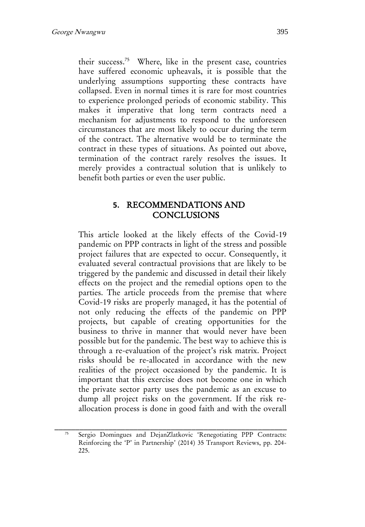their success.<sup>75</sup> Where, like in the present case, countries have suffered economic upheavals, it is possible that the underlying assumptions supporting these contracts have collapsed. Even in normal times it is rare for most countries to experience prolonged periods of economic stability. This makes it imperative that long term contracts need a mechanism for adjustments to respond to the unforeseen circumstances that are most likely to occur during the term of the contract. The alternative would be to terminate the contract in these types of situations. As pointed out above, termination of the contract rarely resolves the issues. It merely provides a contractual solution that is unlikely to benefit both parties or even the user public.

# **5.** RECOMMENDATIONS AND **CONCLUSIONS**

This article looked at the likely effects of the Covid-19 pandemic on PPP contracts in light of the stress and possible project failures that are expected to occur. Consequently, it evaluated several contractual provisions that are likely to be triggered by the pandemic and discussed in detail their likely effects on the project and the remedial options open to the parties. The article proceeds from the premise that where Covid-19 risks are properly managed, it has the potential of not only reducing the effects of the pandemic on PPP projects, but capable of creating opportunities for the business to thrive in manner that would never have been possible but for the pandemic. The best way to achieve this is through a re-evaluation of the project's risk matrix. Project risks should be re-allocated in accordance with the new realities of the project occasioned by the pandemic. It is important that this exercise does not become one in which the private sector party uses the pandemic as an excuse to dump all project risks on the government. If the risk reallocation process is done in good faith and with the overall

\_\_\_\_\_\_\_\_\_\_\_\_\_\_\_\_\_\_\_\_\_\_\_\_\_\_\_\_\_\_\_\_\_\_\_\_\_\_\_\_\_\_\_\_\_\_\_\_\_\_\_\_\_\_\_\_ <sup>75</sup> Sergio Domingues and DejanZlatkovic 'Renegotiating PPP Contracts: Reinforcing the 'P' in Partnership' (2014) 35 Transport Reviews, pp. 204- 225.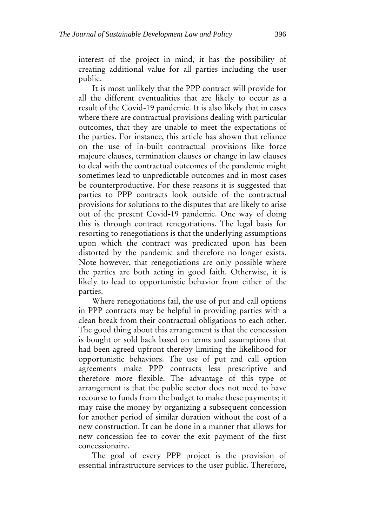interest of the project in mind, it has the possibility of creating additional value for all parties including the user public.

It is most unlikely that the PPP contract will provide for all the different eventualities that are likely to occur as a result of the Covid-19 pandemic. It is also likely that in cases where there are contractual provisions dealing with particular outcomes, that they are unable to meet the expectations of the parties. For instance, this article has shown that reliance on the use of in-built contractual provisions like force majeure clauses, termination clauses or change in law clauses to deal with the contractual outcomes of the pandemic might sometimes lead to unpredictable outcomes and in most cases be counterproductive. For these reasons it is suggested that parties to PPP contracts look outside of the contractual provisions for solutions to the disputes that are likely to arise out of the present Covid-19 pandemic. One way of doing this is through contract renegotiations. The legal basis for resorting to renegotiations is that the underlying assumptions upon which the contract was predicated upon has been distorted by the pandemic and therefore no longer exists. Note however, that renegotiations are only possible where the parties are both acting in good faith. Otherwise, it is likely to lead to opportunistic behavior from either of the parties.

Where renegotiations fail, the use of put and call options in PPP contracts may be helpful in providing parties with a clean break from their contractual obligations to each other. The good thing about this arrangement is that the concession is bought or sold back based on terms and assumptions that had been agreed upfront thereby limiting the likelihood for opportunistic behaviors. The use of put and call option agreements make PPP contracts less prescriptive and therefore more flexible. The advantage of this type of arrangement is that the public sector does not need to have recourse to funds from the budget to make these payments; it may raise the money by organizing a subsequent concession for another period of similar duration without the cost of a new construction. It can be done in a manner that allows for new concession fee to cover the exit payment of the first concessionaire.

The goal of every PPP project is the provision of essential infrastructure services to the user public. Therefore,